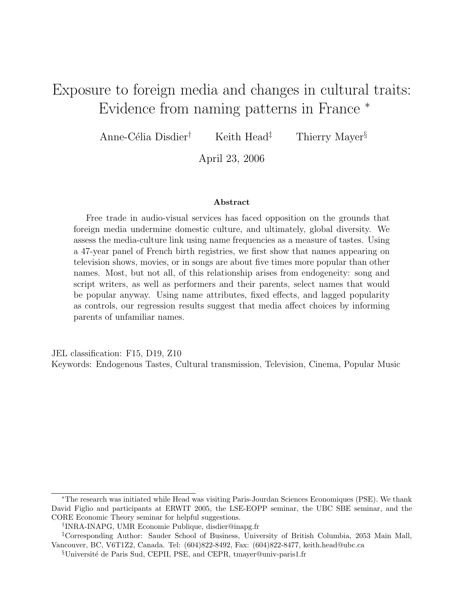# Exposure to foreign media and changes in cultural traits: Evidence from naming patterns in France <sup>∗</sup>

Anne-Célia Disdier<sup>†</sup> Keith Head<sup>‡</sup> Thierry Mayer<sup>§</sup>

April 23, 2006

#### Abstract

Free trade in audio-visual services has faced opposition on the grounds that foreign media undermine domestic culture, and ultimately, global diversity. We assess the media-culture link using name frequencies as a measure of tastes. Using a 47-year panel of French birth registries, we first show that names appearing on television shows, movies, or in songs are about five times more popular than other names. Most, but not all, of this relationship arises from endogeneity: song and script writers, as well as performers and their parents, select names that would be popular anyway. Using name attributes, fixed effects, and lagged popularity as controls, our regression results suggest that media affect choices by informing parents of unfamiliar names.

JEL classification: F15, D19, Z10 Keywords: Endogenous Tastes, Cultural transmission, Television, Cinema, Popular Music

<sup>∗</sup>The research was initiated while Head was visiting Paris-Jourdan Sciences Economiques (PSE). We thank David Figlio and participants at ERWIT 2005, the LSE-EOPP seminar, the UBC SBE seminar, and the CORE Economic Theory seminar for helpful suggestions.

<sup>†</sup> INRA-INAPG, UMR Economie Publique, disdier@inapg.fr

<sup>‡</sup>Corresponding Author: Sauder School of Business, University of British Columbia, 2053 Main Mall, Vancouver, BC, V6T1Z2, Canada. Tel: (604)822-8492, Fax: (604)822-8477, keith.head@ubc.ca

<sup>&</sup>lt;sup>§</sup>Université de Paris Sud, CEPII, PSE, and CEPR, tmayer@univ-paris1.fr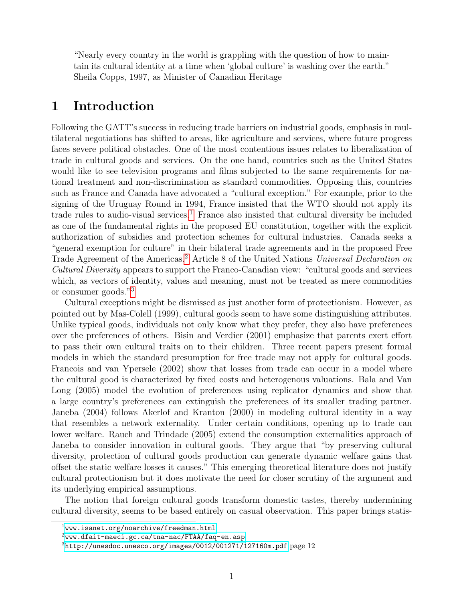"Nearly every country in the world is grappling with the question of how to maintain its cultural identity at a time when 'global culture' is washing over the earth." Sheila Copps, 1997, as Minister of Canadian Heritage

# 1 Introduction

Following the GATT's success in reducing trade barriers on industrial goods, emphasis in multilateral negotiations has shifted to areas, like agriculture and services, where future progress faces severe political obstacles. One of the most contentious issues relates to liberalization of trade in cultural goods and services. On the one hand, countries such as the United States would like to see television programs and films subjected to the same requirements for national treatment and non-discrimination as standard commodities. Opposing this, countries such as France and Canada have advocated a "cultural exception." For example, prior to the signing of the Uruguay Round in 1994, France insisted that the WTO should not apply its trade rules to audio-visual services.<sup>[1](#page-1-0)</sup> France also insisted that cultural diversity be included as one of the fundamental rights in the proposed EU constitution, together with the explicit authorization of subsidies and protection schemes for cultural industries. Canada seeks a "general exemption for culture" in their bilateral trade agreements and in the proposed Free Trade Agreement of the Americas.<sup>[2](#page-1-1)</sup> Article 8 of the United Nations Universal Declaration on Cultural Diversity appears to support the Franco-Canadian view: "cultural goods and services which, as vectors of identity, values and meaning, must not be treated as mere commodities or consumer goods."[3](#page-1-2)

Cultural exceptions might be dismissed as just another form of protectionism. However, as pointed out by Mas-Colell (1999), cultural goods seem to have some distinguishing attributes. Unlike typical goods, individuals not only know what they prefer, they also have preferences over the preferences of others. Bisin and Verdier (2001) emphasize that parents exert effort to pass their own cultural traits on to their children. Three recent papers present formal models in which the standard presumption for free trade may not apply for cultural goods. Francois and van Ypersele (2002) show that losses from trade can occur in a model where the cultural good is characterized by fixed costs and heterogenous valuations. Bala and Van Long (2005) model the evolution of preferences using replicator dynamics and show that a large country's preferences can extinguish the preferences of its smaller trading partner. Janeba (2004) follows Akerlof and Kranton (2000) in modeling cultural identity in a way that resembles a network externality. Under certain conditions, opening up to trade can lower welfare. Rauch and Trindade (2005) extend the consumption externalities approach of Janeba to consider innovation in cultural goods. They argue that "by preserving cultural diversity, protection of cultural goods production can generate dynamic welfare gains that offset the static welfare losses it causes." This emerging theoretical literature does not justify cultural protectionism but it does motivate the need for closer scrutiny of the argument and its underlying empirical assumptions.

The notion that foreign cultural goods transform domestic tastes, thereby undermining cultural diversity, seems to be based entirely on casual observation. This paper brings statis-

<span id="page-1-0"></span> $1$ <www.isanet.org/noarchive/freedman.html>

<span id="page-1-1"></span> $^{2}$ <www.dfait-maeci.gc.ca/tna-nac/FTAA/faq-en.asp>

<span id="page-1-2"></span> $3$ <http://unesdoc.unesco.org/images/0012/001271/127160m.pdf> page 12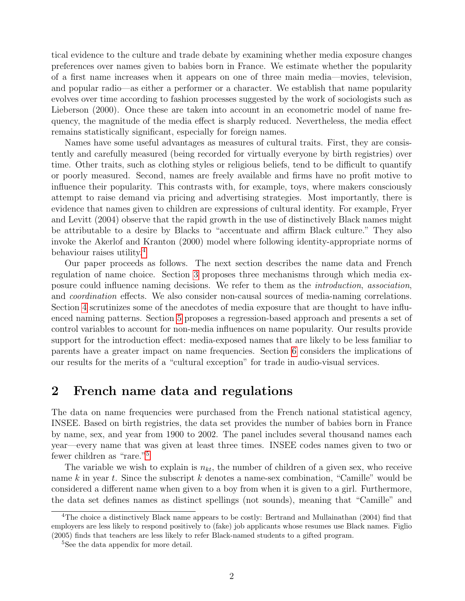tical evidence to the culture and trade debate by examining whether media exposure changes preferences over names given to babies born in France. We estimate whether the popularity of a first name increases when it appears on one of three main media—movies, television, and popular radio—as either a performer or a character. We establish that name popularity evolves over time according to fashion processes suggested by the work of sociologists such as Lieberson (2000). Once these are taken into account in an econometric model of name frequency, the magnitude of the media effect is sharply reduced. Nevertheless, the media effect remains statistically significant, especially for foreign names.

Names have some useful advantages as measures of cultural traits. First, they are consistently and carefully measured (being recorded for virtually everyone by birth registries) over time. Other traits, such as clothing styles or religious beliefs, tend to be difficult to quantify or poorly measured. Second, names are freely available and firms have no profit motive to influence their popularity. This contrasts with, for example, toys, where makers consciously attempt to raise demand via pricing and advertising strategies. Most importantly, there is evidence that names given to children are expressions of cultural identity. For example, Fryer and Levitt (2004) observe that the rapid growth in the use of distinctively Black names might be attributable to a desire by Blacks to "accentuate and affirm Black culture." They also invoke the Akerlof and Kranton (2000) model where following identity-appropriate norms of behaviour raises utility.[4](#page-2-0)

Our paper proceeds as follows. The next section describes the name data and French regulation of name choice. Section [3](#page-5-0) proposes three mechanisms through which media exposure could influence naming decisions. We refer to them as the introduction, association, and coordination effects. We also consider non-causal sources of media-naming correlations. Section [4](#page-7-0) scrutinizes some of the anecdotes of media exposure that are thought to have influenced naming patterns. Section [5](#page-8-0) proposes a regression-based approach and presents a set of control variables to account for non-media influences on name popularity. Our results provide support for the introduction effect: media-exposed names that are likely to be less familiar to parents have a greater impact on name frequencies. Section [6](#page-25-0) considers the implications of our results for the merits of a "cultural exception" for trade in audio-visual services.

## 2 French name data and regulations

The data on name frequencies were purchased from the French national statistical agency, INSEE. Based on birth registries, the data set provides the number of babies born in France by name, sex, and year from 1900 to 2002. The panel includes several thousand names each year—every name that was given at least three times. INSEE codes names given to two or fewer children as "rare."[5](#page-2-1)

The variable we wish to explain is  $n_{kt}$ , the number of children of a given sex, who receive name k in year t. Since the subscript  $k$  denotes a name-sex combination, "Camille" would be considered a different name when given to a boy from when it is given to a girl. Furthermore, the data set defines names as distinct spellings (not sounds), meaning that "Camille" and

<span id="page-2-0"></span><sup>&</sup>lt;sup>4</sup>The choice a distinctively Black name appears to be costly: Bertrand and Mullainathan (2004) find that employers are less likely to respond positively to (fake) job applicants whose resumes use Black names. Figlio (2005) finds that teachers are less likely to refer Black-named students to a gifted program.

<span id="page-2-1"></span><sup>&</sup>lt;sup>5</sup>See the data appendix for more detail.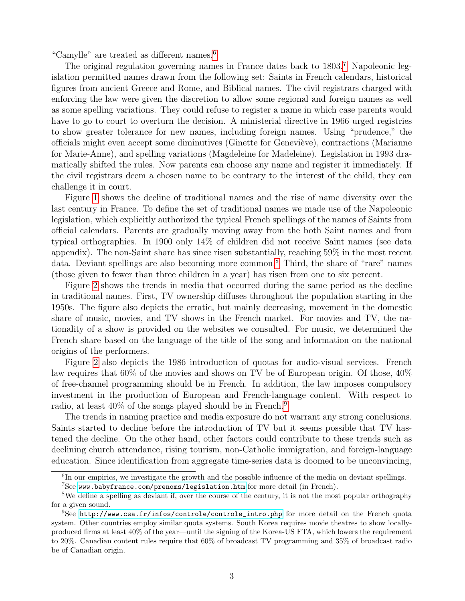"Camylle" are treated as different names.[6](#page-3-0)

The original regulation governing names in France dates back to 1803.<sup>[7](#page-3-1)</sup> Napoleonic legislation permitted names drawn from the following set: Saints in French calendars, historical figures from ancient Greece and Rome, and Biblical names. The civil registrars charged with enforcing the law were given the discretion to allow some regional and foreign names as well as some spelling variations. They could refuse to register a name in which case parents would have to go to court to overturn the decision. A ministerial directive in 1966 urged registries to show greater tolerance for new names, including foreign names. Using "prudence," the officials might even accept some diminutives (Ginette for Genevi`eve), contractions (Marianne for Marie-Anne), and spelling variations (Magdeleine for Madeleine). Legislation in 1993 dramatically shifted the rules. Now parents can choose any name and register it immediately. If the civil registrars deem a chosen name to be contrary to the interest of the child, they can challenge it in court.

Figure [1](#page-4-0) shows the decline of traditional names and the rise of name diversity over the last century in France. To define the set of traditional names we made use of the Napoleonic legislation, which explicitly authorized the typical French spellings of the names of Saints from official calendars. Parents are gradually moving away from the both Saint names and from typical orthographies. In 1900 only 14% of children did not receive Saint names (see data appendix). The non-Saint share has since risen substantially, reaching 59% in the most recent data. Deviant spellings are also becoming more common.[8](#page-3-2) Third, the share of "rare" names (those given to fewer than three children in a year) has risen from one to six percent.

Figure [2](#page-4-1) shows the trends in media that occurred during the same period as the decline in traditional names. First, TV ownership diffuses throughout the population starting in the 1950s. The figure also depicts the erratic, but mainly decreasing, movement in the domestic share of music, movies, and TV shows in the French market. For movies and TV, the nationality of a show is provided on the websites we consulted. For music, we determined the French share based on the language of the title of the song and information on the national origins of the performers.

Figure [2](#page-4-1) also depicts the 1986 introduction of quotas for audio-visual services. French law requires that 60% of the movies and shows on TV be of European origin. Of those, 40% of free-channel programming should be in French. In addition, the law imposes compulsory investment in the production of European and French-language content. With respect to radio, at least  $40\%$  of the songs played should be in French.<sup>[9](#page-3-3)</sup>

The trends in naming practice and media exposure do not warrant any strong conclusions. Saints started to decline before the introduction of TV but it seems possible that TV hastened the decline. On the other hand, other factors could contribute to these trends such as declining church attendance, rising tourism, non-Catholic immigration, and foreign-language education. Since identification from aggregate time-series data is doomed to be unconvincing,

<span id="page-3-1"></span><span id="page-3-0"></span><sup>&</sup>lt;sup>6</sup>In our empirics, we investigate the growth and the possible influence of the media on deviant spellings.  $7$ See <www.babyfrance.com/prenoms/legislation.htm> for more detail (in French).

<span id="page-3-2"></span><sup>8</sup>We define a spelling as deviant if, over the course of the century, it is not the most popular orthography

for a given sound.

<span id="page-3-3"></span><sup>9</sup>See [http://www.csa.fr/infos/controle/controle\\_intro.php](http://www.csa.fr/infos/controle/controle_intro.php) for more detail on the French quota system. Other countries employ similar quota systems. South Korea requires movie theatres to show locallyproduced firms at least 40% of the year—until the signing of the Korea-US FTA, which lowers the requirement to 20%. Canadian content rules require that 60% of broadcast TV programming and 35% of broadcast radio be of Canadian origin.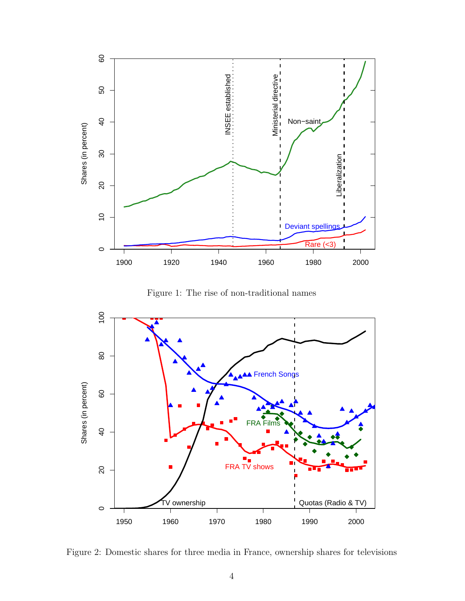

<span id="page-4-0"></span>Figure 1: The rise of non-traditional names



<span id="page-4-1"></span>Figure 2: Domestic shares for three media in France, ownership shares for televisions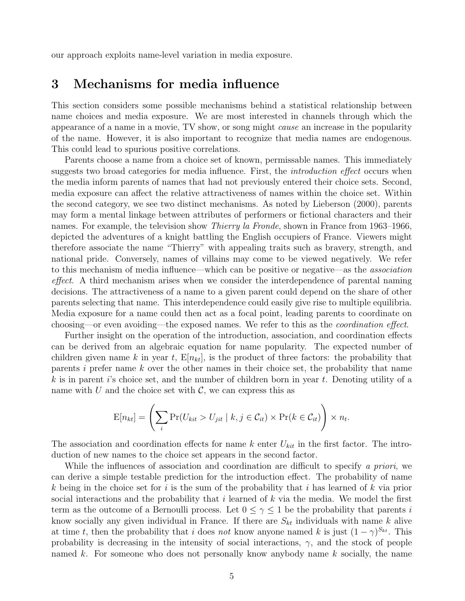our approach exploits name-level variation in media exposure.

# <span id="page-5-0"></span>3 Mechanisms for media influence

This section considers some possible mechanisms behind a statistical relationship between name choices and media exposure. We are most interested in channels through which the appearance of a name in a movie, TV show, or song might cause an increase in the popularity of the name. However, it is also important to recognize that media names are endogenous. This could lead to spurious positive correlations.

Parents choose a name from a choice set of known, permissable names. This immediately suggests two broad categories for media influence. First, the *introduction effect* occurs when the media inform parents of names that had not previously entered their choice sets. Second, media exposure can affect the relative attractiveness of names within the choice set. Within the second category, we see two distinct mechanisms. As noted by Lieberson (2000), parents may form a mental linkage between attributes of performers or fictional characters and their names. For example, the television show *Thierry la Fronde*, shown in France from 1963–1966, depicted the adventures of a knight battling the English occupiers of France. Viewers might therefore associate the name "Thierry" with appealing traits such as bravery, strength, and national pride. Conversely, names of villains may come to be viewed negatively. We refer to this mechanism of media influence—which can be positive or negative—as the *association* effect. A third mechanism arises when we consider the interdependence of parental naming decisions. The attractiveness of a name to a given parent could depend on the share of other parents selecting that name. This interdependence could easily give rise to multiple equilibria. Media exposure for a name could then act as a focal point, leading parents to coordinate on choosing—or even avoiding—the exposed names. We refer to this as the *coordination effect*.

Further insight on the operation of the introduction, association, and coordination effects can be derived from an algebraic equation for name popularity. The expected number of children given name k in year t,  $E[n_{kt}]$ , is the product of three factors: the probability that parents  $i$  prefer name  $k$  over the other names in their choice set, the probability that name k is in parent i's choice set, and the number of children born in year t. Denoting utility of a name with U and the choice set with  $\mathcal{C}$ , we can express this as

$$
E[n_{kt}] = \left(\sum_{i} \Pr(U_{kit} > U_{jit} \mid k, j \in \mathcal{C}_{it}) \times \Pr(k \in \mathcal{C}_{it})\right) \times n_t.
$$

The association and coordination effects for name k enter  $U_{kit}$  in the first factor. The introduction of new names to the choice set appears in the second factor.

While the influences of association and coordination are difficult to specify a priori, we can derive a simple testable prediction for the introduction effect. The probability of name k being in the choice set for i is the sum of the probability that i has learned of k via prior social interactions and the probability that i learned of  $k$  via the media. We model the first term as the outcome of a Bernoulli process. Let  $0 \leq \gamma \leq 1$  be the probability that parents i know socially any given individual in France. If there are  $S_{kt}$  individuals with name k alive at time t, then the probability that i does not know anyone named k is just  $(1 - \gamma)^{S_{kt}}$ . This probability is decreasing in the intensity of social interactions,  $\gamma$ , and the stock of people named k. For someone who does not personally know anybody name k socially, the name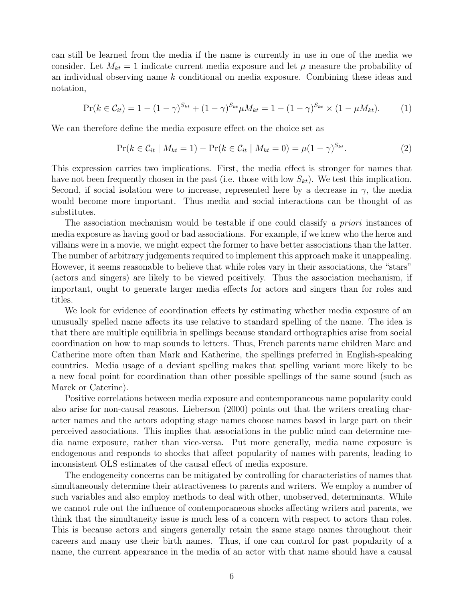can still be learned from the media if the name is currently in use in one of the media we consider. Let  $M_{kt} = 1$  indicate current media exposure and let  $\mu$  measure the probability of an individual observing name k conditional on media exposure. Combining these ideas and notation,

$$
\Pr(k \in \mathcal{C}_{it}) = 1 - (1 - \gamma)^{S_{kt}} + (1 - \gamma)^{S_{kt}} \mu M_{kt} = 1 - (1 - \gamma)^{S_{kt}} \times (1 - \mu M_{kt}). \tag{1}
$$

We can therefore define the media exposure effect on the choice set as

$$
Pr(k \in C_{it} \mid M_{kt} = 1) - Pr(k \in C_{it} \mid M_{kt} = 0) = \mu (1 - \gamma)^{S_{kt}}.
$$
 (2)

This expression carries two implications. First, the media effect is stronger for names that have not been frequently chosen in the past (i.e. those with low  $S_{kt}$ ). We test this implication. Second, if social isolation were to increase, represented here by a decrease in  $\gamma$ , the media would become more important. Thus media and social interactions can be thought of as substitutes.

The association mechanism would be testable if one could classify a priori instances of media exposure as having good or bad associations. For example, if we knew who the heros and villains were in a movie, we might expect the former to have better associations than the latter. The number of arbitrary judgements required to implement this approach make it unappealing. However, it seems reasonable to believe that while roles vary in their associations, the "stars" (actors and singers) are likely to be viewed positively. Thus the association mechanism, if important, ought to generate larger media effects for actors and singers than for roles and titles.

We look for evidence of coordination effects by estimating whether media exposure of an unusually spelled name affects its use relative to standard spelling of the name. The idea is that there are multiple equilibria in spellings because standard orthographies arise from social coordination on how to map sounds to letters. Thus, French parents name children Marc and Catherine more often than Mark and Katherine, the spellings preferred in English-speaking countries. Media usage of a deviant spelling makes that spelling variant more likely to be a new focal point for coordination than other possible spellings of the same sound (such as Marck or Caterine).

Positive correlations between media exposure and contemporaneous name popularity could also arise for non-causal reasons. Lieberson (2000) points out that the writers creating character names and the actors adopting stage names choose names based in large part on their perceived associations. This implies that associations in the public mind can determine media name exposure, rather than vice-versa. Put more generally, media name exposure is endogenous and responds to shocks that affect popularity of names with parents, leading to inconsistent OLS estimates of the causal effect of media exposure.

The endogeneity concerns can be mitigated by controlling for characteristics of names that simultaneously determine their attractiveness to parents and writers. We employ a number of such variables and also employ methods to deal with other, unobserved, determinants. While we cannot rule out the influence of contemporaneous shocks affecting writers and parents, we think that the simultaneity issue is much less of a concern with respect to actors than roles. This is because actors and singers generally retain the same stage names throughout their careers and many use their birth names. Thus, if one can control for past popularity of a name, the current appearance in the media of an actor with that name should have a causal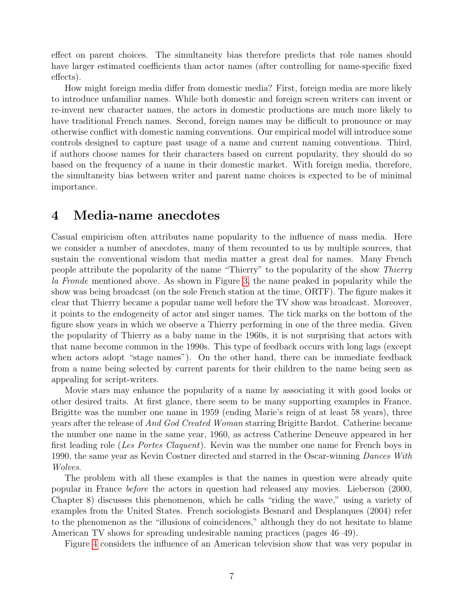effect on parent choices. The simultaneity bias therefore predicts that role names should have larger estimated coefficients than actor names (after controlling for name-specific fixed effects).

How might foreign media differ from domestic media? First, foreign media are more likely to introduce unfamiliar names. While both domestic and foreign screen writers can invent or re-invent new character names, the actors in domestic productions are much more likely to have traditional French names. Second, foreign names may be difficult to pronounce or may otherwise conflict with domestic naming conventions. Our empirical model will introduce some controls designed to capture past usage of a name and current naming conventions. Third, if authors choose names for their characters based on current popularity, they should do so based on the frequency of a name in their domestic market. With foreign media, therefore, the simultaneity bias between writer and parent name choices is expected to be of minimal importance.

## <span id="page-7-0"></span>4 Media-name anecdotes

Casual empiricism often attributes name popularity to the influence of mass media. Here we consider a number of anecdotes, many of them recounted to us by multiple sources, that sustain the conventional wisdom that media matter a great deal for names. Many French people attribute the popularity of the name "Thierry" to the popularity of the show Thierry la Fronde mentioned above. As shown in Figure [3,](#page-8-1) the name peaked in popularity while the show was being broadcast (on the sole French station at the time, ORTF). The figure makes it clear that Thierry became a popular name well before the TV show was broadcast. Moreover, it points to the endogeneity of actor and singer names. The tick marks on the bottom of the figure show years in which we observe a Thierry performing in one of the three media. Given the popularity of Thierry as a baby name in the 1960s, it is not surprising that actors with that name become common in the 1990s. This type of feedback occurs with long lags (except when actors adopt "stage names"). On the other hand, there can be immediate feedback from a name being selected by current parents for their children to the name being seen as appealing for script-writers.

Movie stars may enhance the popularity of a name by associating it with good looks or other desired traits. At first glance, there seem to be many supporting examples in France. Brigitte was the number one name in 1959 (ending Marie's reign of at least 58 years), three years after the release of And God Created Woman starring Brigitte Bardot. Catherine became the number one name in the same year, 1960, as actress Catherine Deneuve appeared in her first leading role (Les Portes Claquent). Kevin was the number one name for French boys in 1990, the same year as Kevin Costner directed and starred in the Oscar-winning Dances With Wolves.

The problem with all these examples is that the names in question were already quite popular in France before the actors in question had released any movies. Lieberson (2000, Chapter 8) discusses this phenomenon, which he calls "riding the wave," using a variety of examples from the United States. French sociologists Besnard and Desplanques (2004) refer to the phenomenon as the "illusions of coincidences," although they do not hesitate to blame American TV shows for spreading undesirable naming practices (pages 46–49).

Figure [4](#page-9-0) considers the influence of an American television show that was very popular in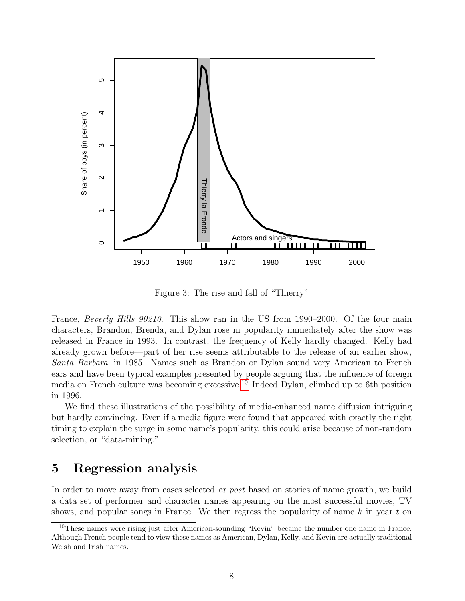

<span id="page-8-1"></span>Figure 3: The rise and fall of "Thierry"

France, *Beverly Hills 90210*. This show ran in the US from 1990–2000. Of the four main characters, Brandon, Brenda, and Dylan rose in popularity immediately after the show was released in France in 1993. In contrast, the frequency of Kelly hardly changed. Kelly had already grown before—part of her rise seems attributable to the release of an earlier show, Santa Barbara, in 1985. Names such as Brandon or Dylan sound very American to French ears and have been typical examples presented by people arguing that the influence of foreign media on French culture was becoming excessive.[10](#page-8-2) Indeed Dylan, climbed up to 6th position in 1996.

We find these illustrations of the possibility of media-enhanced name diffusion intriguing but hardly convincing. Even if a media figure were found that appeared with exactly the right timing to explain the surge in some name's popularity, this could arise because of non-random selection, or "data-mining."

### <span id="page-8-0"></span>5 Regression analysis

In order to move away from cases selected *ex post* based on stories of name growth, we build a data set of performer and character names appearing on the most successful movies, TV shows, and popular songs in France. We then regress the popularity of name  $k$  in year  $t$  on

<span id="page-8-2"></span><sup>&</sup>lt;sup>10</sup>These names were rising just after American-sounding "Kevin" became the number one name in France. Although French people tend to view these names as American, Dylan, Kelly, and Kevin are actually traditional Welsh and Irish names.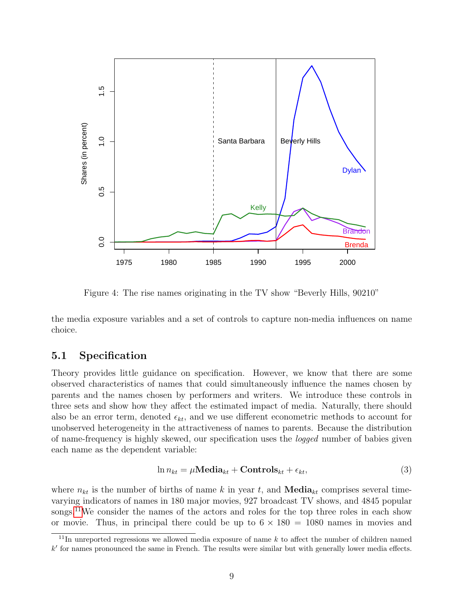

<span id="page-9-0"></span>Figure 4: The rise names originating in the TV show "Beverly Hills, 90210"

the media exposure variables and a set of controls to capture non-media influences on name choice.

### <span id="page-9-2"></span>5.1 Specification

Theory provides little guidance on specification. However, we know that there are some observed characteristics of names that could simultaneously influence the names chosen by parents and the names chosen by performers and writers. We introduce these controls in three sets and show how they affect the estimated impact of media. Naturally, there should also be an error term, denoted  $\epsilon_{kt}$ , and we use different econometric methods to account for unobserved heterogeneity in the attractiveness of names to parents. Because the distribution of name-frequency is highly skewed, our specification uses the logged number of babies given each name as the dependent variable:

$$
\ln n_{kt} = \mu \textbf{Media}_{kt} + \textbf{Controls}_{kt} + \epsilon_{kt},\tag{3}
$$

where  $n_{kt}$  is the number of births of name k in year t, and **Media**<sub>kt</sub> comprises several timevarying indicators of names in 180 major movies, 927 broadcast TV shows, and 4845 popular songs.<sup>[11](#page-9-1)</sup>We consider the names of the actors and roles for the top three roles in each show or movie. Thus, in principal there could be up to  $6 \times 180 = 1080$  names in movies and

<span id="page-9-1"></span> $11$ In unreported regressions we allowed media exposure of name k to affect the number of children named  $k'$  for names pronounced the same in French. The results were similar but with generally lower media effects.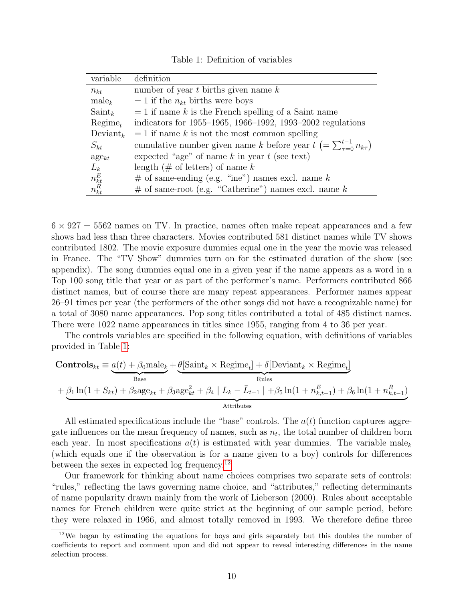<span id="page-10-0"></span>Table 1: Definition of variables

| variable              | definition                                                                       |
|-----------------------|----------------------------------------------------------------------------------|
| $n_{kt}$              | number of year $t$ births given name $k$                                         |
| $male_k$              | $= 1$ if the $n_{kt}$ births were boys                                           |
| $Saint_k$             | $= 1$ if name k is the French spelling of a Saint name                           |
| $Regime_{t}$          | indicators for 1955–1965, 1966–1992, 1993–2002 regulations                       |
| $Deviant_k$           | $= 1$ if name k is not the most common spelling                                  |
| $S_{kt}$              | cumulative number given name k before year $t (= \sum_{\tau=0}^{t-1} n_{k\tau})$ |
| $\mathrm{age}_{kt}$   | expected "age" of name $k$ in year $t$ (see text)                                |
| $L_k$                 | length (# of letters) of name $k$                                                |
|                       | $#$ of same-ending (e.g. "ine") names excl. name k                               |
| $n_{kt}^E\\ n_{kt}^R$ | $#$ of same-root (e.g. "Catherine") names excl. name k                           |

 $6 \times 927 = 5562$  names on TV. In practice, names often make repeat appearances and a few shows had less than three characters. Movies contributed 581 distinct names while TV shows contributed 1802. The movie exposure dummies equal one in the year the movie was released in France. The "TV Show" dummies turn on for the estimated duration of the show (see appendix). The song dummies equal one in a given year if the name appears as a word in a Top 100 song title that year or as part of the performer's name. Performers contributed 866 distinct names, but of course there are many repeat appearances. Performer names appear 26–91 times per year (the performers of the other songs did not have a recognizable name) for a total of 3080 name appearances. Pop song titles contributed a total of 485 distinct names. There were 1022 name appearances in titles since 1955, ranging from 4 to 36 per year.

The controls variables are specified in the following equation, with definitions of variables provided in Table [1:](#page-10-0)

$$
\text{Controls}_{kt} \equiv \underbrace{a(t) + \beta_0 \text{male}_k}_{\text{Base}} + \underbrace{\theta[\text{Saint}_k \times \text{Regime}_t] + \delta[\text{Deviant}_k \times \text{Regime}_t]}_{\text{Rules}}
$$
\n
$$
+ \underbrace{\beta_1 \ln(1 + S_{kt}) + \beta_2 \text{age}_{kt} + \beta_3 \text{age}_{kt}^2 + \beta_4 \mid L_k - \bar{L}_{t-1} \mid + \beta_5 \ln(1 + n_{k,t-1}^E) + \beta_6 \ln(1 + n_{k,t-1}^R)}
$$
\n
$$
\text{Attributes}
$$

All estimated specifications include the "base" controls. The  $a(t)$  function captures aggregate influences on the mean frequency of names, such as  $n_t$ , the total number of children born each year. In most specifications  $a(t)$  is estimated with year dummies. The variable male<sub>k</sub> (which equals one if the observation is for a name given to a boy) controls for differences between the sexes in expected log frequency.<sup>[12](#page-10-1)</sup>

Our framework for thinking about name choices comprises two separate sets of controls: "rules," reflecting the laws governing name choice, and "attributes," reflecting determinants of name popularity drawn mainly from the work of Lieberson (2000). Rules about acceptable names for French children were quite strict at the beginning of our sample period, before they were relaxed in 1966, and almost totally removed in 1993. We therefore define three

<span id="page-10-1"></span> $12$ We began by estimating the equations for boys and girls separately but this doubles the number of coefficients to report and comment upon and did not appear to reveal interesting differences in the name selection process.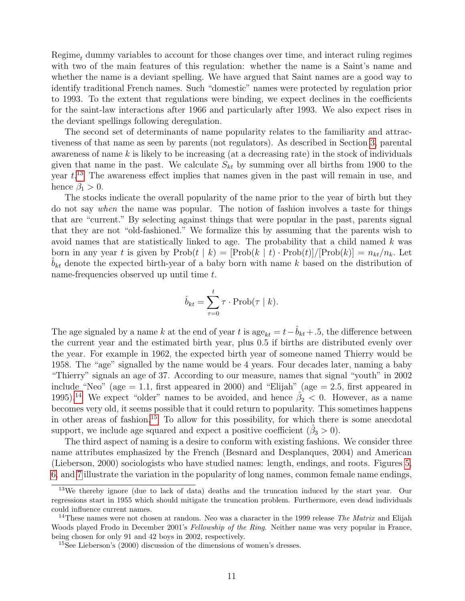Regime<sub>t</sub> dummy variables to account for those changes over time, and interact ruling regimes with two of the main features of this regulation: whether the name is a Saint's name and whether the name is a deviant spelling. We have argued that Saint names are a good way to identify traditional French names. Such "domestic" names were protected by regulation prior to 1993. To the extent that regulations were binding, we expect declines in the coefficients for the saint-law interactions after 1966 and particularly after 1993. We also expect rises in the deviant spellings following deregulation.

The second set of determinants of name popularity relates to the familiarity and attractiveness of that name as seen by parents (not regulators). As described in Section [3,](#page-5-0) parental awareness of name  $k$  is likely to be increasing (at a decreasing rate) in the stock of individuals given that name in the past. We calculate  $S_{kt}$  by summing over all births from 1900 to the year  $t^{13}$  $t^{13}$  $t^{13}$  The awareness effect implies that names given in the past will remain in use, and hence  $\hat{\beta}_1 > 0$ .

The stocks indicate the overall popularity of the name prior to the year of birth but they do not say when the name was popular. The notion of fashion involves a taste for things that are "current." By selecting against things that were popular in the past, parents signal that they are not "old-fashioned." We formalize this by assuming that the parents wish to avoid names that are statistically linked to age. The probability that a child named  $k$  was born in any year t is given by  $\text{Prob}(t | k) = [\text{Prob}(k | t) \cdot \text{Prob}(t)] / [\text{Prob}(k)] = n_{kt}/n_k$ . Let  $\hat{b}_{kt}$  denote the expected birth-year of a baby born with name k based on the distribution of name-frequencies observed up until time t.

$$
\hat{b}_{kt} = \sum_{\tau=0}^{t} \tau \cdot \text{Prob}(\tau | k).
$$

The age signaled by a name k at the end of year t is  $\text{age}_{kt} = t-\hat{b}_{kt} + .5$ , the difference between the current year and the estimated birth year, plus 0.5 if births are distributed evenly over the year. For example in 1962, the expected birth year of someone named Thierry would be 1958. The "age" signalled by the name would be 4 years. Four decades later, naming a baby "Thierry" signals an age of 37. According to our measure, names that signal "youth" in 2002 include "Neo" (age  $= 1.1$ , first appeared in 2000) and "Elijah" (age  $= 2.5$ , first appeared in 1995).<sup>[14](#page-11-1)</sup> We expect "older" names to be avoided, and hence  $\hat{\beta}_2 < 0$ . However, as a name becomes very old, it seems possible that it could return to popularity. This sometimes happens in other areas of fashion.<sup>[15](#page-11-2)</sup> To allow for this possibility, for which there is some anecdotal support, we include age squared and expect a positive coefficient  $(\hat{\beta}_3 > 0)$ .

The third aspect of naming is a desire to conform with existing fashions. We consider three name attributes emphasized by the French (Besnard and Desplanques, 2004) and American (Lieberson, 2000) sociologists who have studied names: length, endings, and roots. Figures [5,](#page-13-0) [6,](#page-13-1) and [7](#page-14-0) illustrate the variation in the popularity of long names, common female name endings,

<span id="page-11-0"></span><sup>&</sup>lt;sup>13</sup>We thereby ignore (due to lack of data) deaths and the truncation induced by the start year. Our regressions start in 1955 which should mitigate the truncation problem. Furthermore, even dead individuals could influence current names.

<span id="page-11-1"></span><sup>&</sup>lt;sup>14</sup>These names were not chosen at random. Neo was a character in the 1999 release *The Matrix* and Elijah Woods played Frodo in December 2001's Fellowship of the Ring. Neither name was very popular in France, being chosen for only 91 and 42 boys in 2002, respectively.

<span id="page-11-2"></span><sup>15</sup>See Lieberson's (2000) discussion of the dimensions of women's dresses.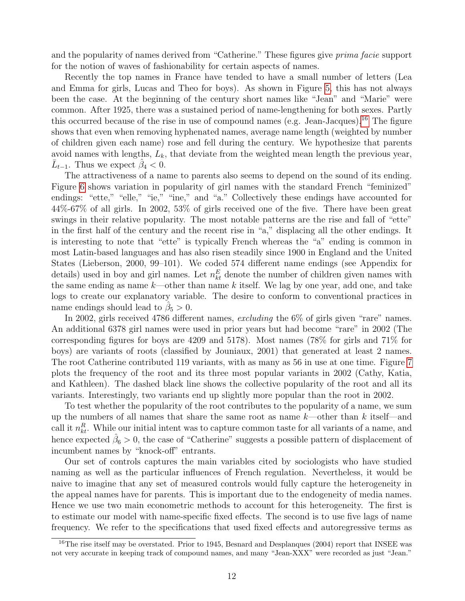and the popularity of names derived from "Catherine." These figures give prima facie support for the notion of waves of fashionability for certain aspects of names.

Recently the top names in France have tended to have a small number of letters (Lea and Emma for girls, Lucas and Theo for boys). As shown in Figure [5,](#page-13-0) this has not always been the case. At the beginning of the century short names like "Jean" and "Marie" were common. After 1925, there was a sustained period of name-lengthening for both sexes. Partly this occurred because of the rise in use of compound names (e.g. Jean-Jacques).[16](#page-12-0) The figure shows that even when removing hyphenated names, average name length (weighted by number of children given each name) rose and fell during the century. We hypothesize that parents avoid names with lengths,  $L_k$ , that deviate from the weighted mean length the previous year,  $\bar{L}_{t-1}$ . Thus we expect  $\hat{\beta}_4 < 0$ .

The attractiveness of a name to parents also seems to depend on the sound of its ending. Figure [6](#page-13-1) shows variation in popularity of girl names with the standard French "feminized" endings: "ette," "elle," "ie," "ine," and "a." Collectively these endings have accounted for 44%-67% of all girls. In 2002, 53% of girls received one of the five. There have been great swings in their relative popularity. The most notable patterns are the rise and fall of "ette" in the first half of the century and the recent rise in "a," displacing all the other endings. It is interesting to note that "ette" is typically French whereas the "a" ending is common in most Latin-based languages and has also risen steadily since 1900 in England and the United States (Lieberson, 2000, 99–101). We coded 574 different name endings (see Appendix for details) used in boy and girl names. Let  $n_k^E$  denote the number of children given names with the same ending as name  $k$ —other than name k itself. We lag by one year, add one, and take logs to create our explanatory variable. The desire to conform to conventional practices in name endings should lead to  $\hat{\beta}_5 > 0$ .

In 2002, girls received 4786 different names, excluding the 6% of girls given "rare" names. An additional 6378 girl names were used in prior years but had become "rare" in 2002 (The corresponding figures for boys are 4209 and 5178). Most names (78% for girls and 71% for boys) are variants of roots (classified by Jouniaux, 2001) that generated at least 2 names. The root Catherine contributed 119 variants, with as many as 56 in use at one time. Figure [7](#page-14-0) plots the frequency of the root and its three most popular variants in 2002 (Cathy, Katia, and Kathleen). The dashed black line shows the collective popularity of the root and all its variants. Interestingly, two variants end up slightly more popular than the root in 2002.

To test whether the popularity of the root contributes to the popularity of a name, we sum up the numbers of all names that share the same root as name  $k$ —other than k itself—and call it  $n_{kt}^R$ . While our initial intent was to capture common taste for all variants of a name, and hence expected  $\hat{\beta}_6 > 0$ , the case of "Catherine" suggests a possible pattern of displacement of incumbent names by "knock-off" entrants.

Our set of controls captures the main variables cited by sociologists who have studied naming as well as the particular influences of French regulation. Nevertheless, it would be naive to imagine that any set of measured controls would fully capture the heterogeneity in the appeal names have for parents. This is important due to the endogeneity of media names. Hence we use two main econometric methods to account for this heterogeneity. The first is to estimate our model with name-specific fixed effects. The second is to use five lags of name frequency. We refer to the specifications that used fixed effects and autoregressive terms as

<span id="page-12-0"></span><sup>&</sup>lt;sup>16</sup>The rise itself may be overstated. Prior to 1945, Besnard and Desplangues (2004) report that INSEE was not very accurate in keeping track of compound names, and many "Jean-XXX" were recorded as just "Jean."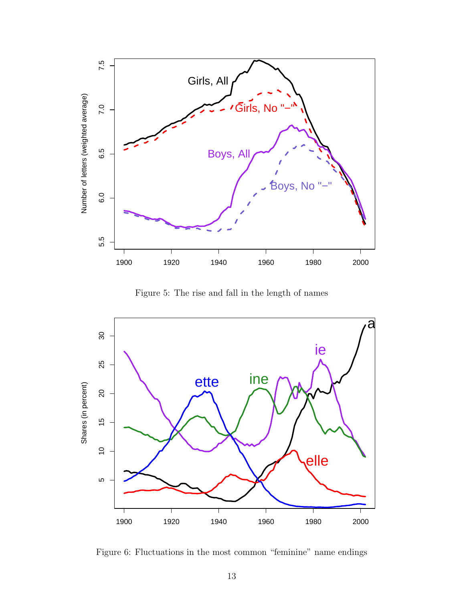

<span id="page-13-0"></span>Figure 5: The rise and fall in the length of names



<span id="page-13-1"></span>Figure 6: Fluctuations in the most common "feminine" name endings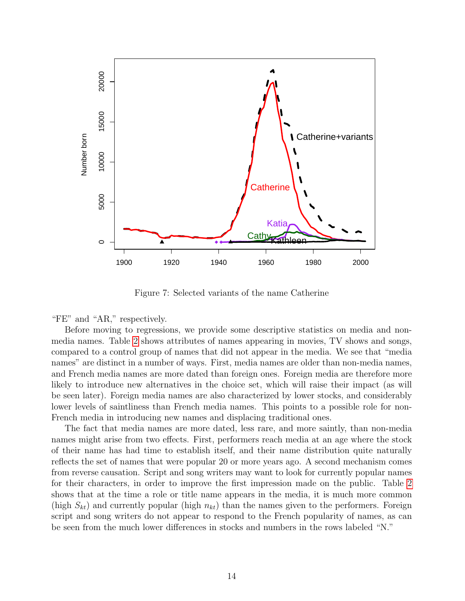

<span id="page-14-0"></span>Figure 7: Selected variants of the name Catherine

"FE" and "AR," respectively.

Before moving to regressions, we provide some descriptive statistics on media and nonmedia names. Table [2](#page-15-0) shows attributes of names appearing in movies, TV shows and songs, compared to a control group of names that did not appear in the media. We see that "media names" are distinct in a number of ways. First, media names are older than non-media names, and French media names are more dated than foreign ones. Foreign media are therefore more likely to introduce new alternatives in the choice set, which will raise their impact (as will be seen later). Foreign media names are also characterized by lower stocks, and considerably lower levels of saintliness than French media names. This points to a possible role for non-French media in introducing new names and displacing traditional ones.

The fact that media names are more dated, less rare, and more saintly, than non-media names might arise from two effects. First, performers reach media at an age where the stock of their name has had time to establish itself, and their name distribution quite naturally reflects the set of names that were popular 20 or more years ago. A second mechanism comes from reverse causation. Script and song writers may want to look for currently popular names for their characters, in order to improve the first impression made on the public. Table [2](#page-15-0) shows that at the time a role or title name appears in the media, it is much more common (high  $S_{kt}$ ) and currently popular (high  $n_{kt}$ ) than the names given to the performers. Foreign script and song writers do not appear to respond to the French popularity of names, as can be seen from the much lower differences in stocks and numbers in the rows labeled "N."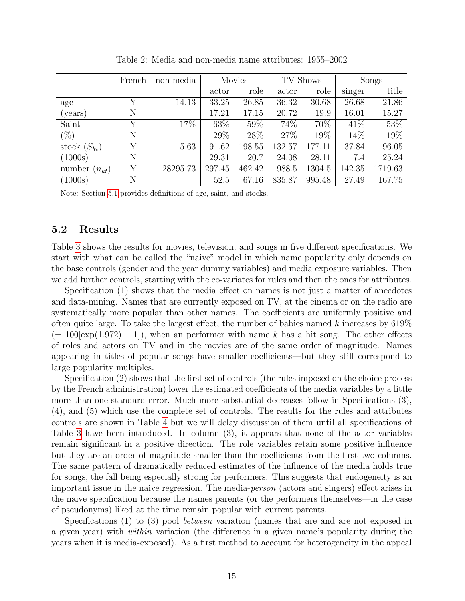|                      | French | non-media | <b>Movies</b> |        | TV Shows |        | Songs  |         |
|----------------------|--------|-----------|---------------|--------|----------|--------|--------|---------|
|                      |        |           | actor         | role   | actor    | role   | singer | title   |
| age                  | Y      | 14.13     | 33.25         | 26.85  | 36.32    | 30.68  | 26.68  | 21.86   |
| (years)              | N      |           | 17.21         | 17.15  | 20.72    | 19.9   | 16.01  | 15.27   |
| Saint                | Υ      | 17%       | 63%           | 59%    | 74%      | 70%    | 41\%   | 53%     |
| $(\%)$               | N      |           | 29%           | 28\%   | 27\%     | 19%    | 14\%   | 19%     |
| stock $(S_{kt})$     | Y      | 5.63      | 91.62         | 198.55 | 132.57   | 177.11 | 37.84  | 96.05   |
| (1000s)              | N      |           | 29.31         | 20.7   | 24.08    | 28.11  | 7.4    | 25.24   |
| number<br>$(n_{kt})$ | Υ      | 28295.73  | 297.45        | 462.42 | 988.5    | 1304.5 | 142.35 | 1719.63 |
| (1000s)              | N      |           | 52.5          | 67.16  | 835.87   | 995.48 | 27.49  | 167.75  |

<span id="page-15-0"></span>Table 2: Media and non-media name attributes: 1955–2002

Note: Section [5.1](#page-9-2) provides definitions of age, saint, and stocks.

#### 5.2 Results

Table [3](#page-16-0) shows the results for movies, television, and songs in five different specifications. We start with what can be called the "naive" model in which name popularity only depends on the base controls (gender and the year dummy variables) and media exposure variables. Then we add further controls, starting with the co-variates for rules and then the ones for attributes.

Specification (1) shows that the media effect on names is not just a matter of anecdotes and data-mining. Names that are currently exposed on TV, at the cinema or on the radio are systematically more popular than other names. The coefficients are uniformly positive and often quite large. To take the largest effect, the number of babies named k increases by  $619\%$  $(= 100 \times (1.972) - 1)$ , when an performer with name k has a hit song. The other effects of roles and actors on TV and in the movies are of the same order of magnitude. Names appearing in titles of popular songs have smaller coefficients—but they still correspond to large popularity multiples.

Specification (2) shows that the first set of controls (the rules imposed on the choice process by the French administration) lower the estimated coefficients of the media variables by a little more than one standard error. Much more substantial decreases follow in Specifications (3), (4), and (5) which use the complete set of controls. The results for the rules and attributes controls are shown in Table [4](#page-18-0) but we will delay discussion of them until all specifications of Table [3](#page-16-0) have been introduced. In column (3), it appears that none of the actor variables remain significant in a positive direction. The role variables retain some positive influence but they are an order of magnitude smaller than the coefficients from the first two columns. The same pattern of dramatically reduced estimates of the influence of the media holds true for songs, the fall being especially strong for performers. This suggests that endogeneity is an important issue in the naive regression. The media-person (actors and singers) effect arises in the naive specification because the names parents (or the performers themselves—in the case of pseudonyms) liked at the time remain popular with current parents.

Specifications (1) to (3) pool *between* variation (names that are and are not exposed in a given year) with within variation (the difference in a given name's popularity during the years when it is media-exposed). As a first method to account for heterogeneity in the appeal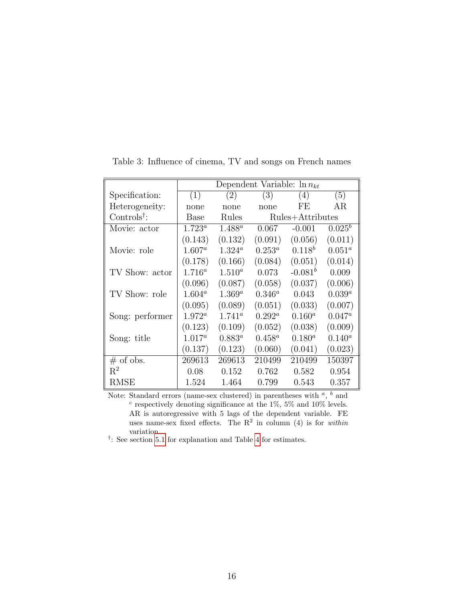|                                            | Dependent Variable: $\ln n_{kt}$ |                 |                  |              |           |  |  |  |
|--------------------------------------------|----------------------------------|-----------------|------------------|--------------|-----------|--|--|--|
| Specification:                             | (1)                              | (2)             | (3)              | (4)          | (5)       |  |  |  |
| Heterogeneity:                             | none                             | none            | none             | FE.          | ΑR        |  |  |  |
| Controls <sup><math>\dagger</math></sup> : | Base                             | Rules           | Rules+Attributes |              |           |  |  |  |
| Movie: actor                               | $1.723^a$                        | $1.488^a$       | 0.067            | $-0.001$     | $0.025^b$ |  |  |  |
|                                            | (0.143)                          | (0.132)         | (0.091)          | (0.056)      | (0.011)   |  |  |  |
| Movie: role                                | $1.607^a$                        | $1.324^a$       | $0.253^a$        | $0.118^{b}$  | $0.051^a$ |  |  |  |
|                                            | (0.178)                          | (0.166)         | (0.084)          | (0.051)      | (0.014)   |  |  |  |
| TV Show: actor                             | $1.716^a$                        | $1.510^a$       | 0.073            | $-0.081^{b}$ | 0.009     |  |  |  |
|                                            | (0.096)                          | (0.087)         | (0.058)          | (0.037)      | (0.006)   |  |  |  |
| TV Show: role                              | $1.604^a$                        | $1.369^a$       | $0.346^a$        | 0.043        | $0.039^a$ |  |  |  |
|                                            | (0.095)                          | (0.089)         | (0.051)          | (0.033)      | (0.007)   |  |  |  |
| Song: performer                            | $1.972^a$                        | $1.741^{\circ}$ | $0.292^a$        | $0.160^a$    | $0.047^a$ |  |  |  |
|                                            | (0.123)                          | (0.109)         | (0.052)          | (0.038)      | (0.009)   |  |  |  |
| Song: title                                | $1.017^a$                        | $0.883^a$       | $0.458^a$        | $0.180^{a}$  | $0.140^a$ |  |  |  |
|                                            | (0.137)                          | (0.123)         | (0.060)          | (0.041)      | (0.023)   |  |  |  |
| $#$ of obs.                                | 269613                           | 269613          | 210499           | 210499       | 150397    |  |  |  |
| $R^2$                                      | 0.08                             | 0.152           | 0.762            | 0.582        | 0.954     |  |  |  |
| RMSE                                       | 1.524                            | 1.464           | 0.799            | 0.543        | 0.357     |  |  |  |

<span id="page-16-0"></span>Table 3: Influence of cinema, TV and songs on French names

Note: Standard errors (name-sex clustered) in parentheses with  $a, b$  and  $c$  respectively denoting significance at the 1%, 5% and 10% levels. AR is autoregressive with 5 lags of the dependent variable. FE uses name-sex fixed effects. The  $\mathbb{R}^2$  in column (4) is for within variation.

<sup>†</sup>: See section [5.1](#page-9-2) for explanation and Table [4](#page-18-0) for estimates.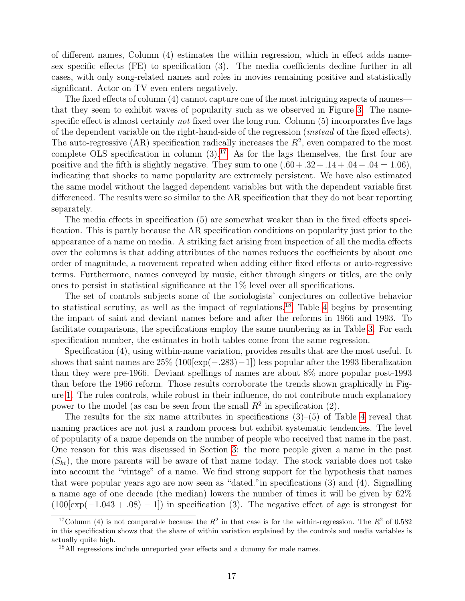of different names, Column (4) estimates the within regression, which in effect adds namesex specific effects (FE) to specification (3). The media coefficients decline further in all cases, with only song-related names and roles in movies remaining positive and statistically significant. Actor on TV even enters negatively.

The fixed effects of column (4) cannot capture one of the most intriguing aspects of names that they seem to exhibit waves of popularity such as we observed in Figure [3.](#page-8-1) The namespecific effect is almost certainly not fixed over the long run. Column (5) incorporates five lags of the dependent variable on the right-hand-side of the regression (instead of the fixed effects). The auto-regressive (AR) specification radically increases the  $R^2$ , even compared to the most complete OLS specification in column  $(3)$ .<sup>[17](#page-17-0)</sup> As for the lags themselves, the first four are positive and the fifth is slightly negative. They sum to one  $(.60 + .32 + .14 + .04 - .04 = 1.06)$ , indicating that shocks to name popularity are extremely persistent. We have also estimated the same model without the lagged dependent variables but with the dependent variable first differenced. The results were so similar to the AR specification that they do not bear reporting separately.

The media effects in specification (5) are somewhat weaker than in the fixed effects specification. This is partly because the AR specification conditions on popularity just prior to the appearance of a name on media. A striking fact arising from inspection of all the media effects over the columns is that adding attributes of the names reduces the coefficients by about one order of magnitude, a movement repeated when adding either fixed effects or auto-regressive terms. Furthermore, names conveyed by music, either through singers or titles, are the only ones to persist in statistical significance at the 1% level over all specifications.

The set of controls subjects some of the sociologists' conjectures on collective behavior to statistical scrutiny, as well as the impact of regulations.<sup>[18](#page-17-1)</sup> Table [4](#page-18-0) begins by presenting the impact of saint and deviant names before and after the reforms in 1966 and 1993. To facilitate comparisons, the specifications employ the same numbering as in Table [3.](#page-16-0) For each specification number, the estimates in both tables come from the same regression.

Specification (4), using within-name variation, provides results that are the most useful. It shows that saint names are  $25\%$  (100[exp( $-.283$ ) $-1$ ]) less popular after the 1993 liberalization than they were pre-1966. Deviant spellings of names are about 8% more popular post-1993 than before the 1966 reform. Those results corroborate the trends shown graphically in Figure [1.](#page-4-0) The rules controls, while robust in their influence, do not contribute much explanatory power to the model (as can be seen from the small  $R^2$  in specification (2).

The results for the six name attributes in specifications  $(3)$ – $(5)$  of Table [4](#page-18-0) reveal that naming practices are not just a random process but exhibit systematic tendencies. The level of popularity of a name depends on the number of people who received that name in the past. One reason for this was discussed in Section [3:](#page-5-0) the more people given a name in the past  $(S_{kt})$ , the more parents will be aware of that name today. The stock variable does not take into account the "vintage" of a name. We find strong support for the hypothesis that names that were popular years ago are now seen as "dated."in specifications (3) and (4). Signalling a name age of one decade (the median) lowers the number of times it will be given by 62%  $(100 \text{exp}(-1.043 + .08) - 1)$  in specification (3). The negative effect of age is strongest for

<span id="page-17-0"></span><sup>&</sup>lt;sup>17</sup>Column (4) is not comparable because the  $R^2$  in that case is for the within-regression. The  $R^2$  of 0.582 in this specification shows that the share of within variation explained by the controls and media variables is actually quite high.

<span id="page-17-1"></span><sup>&</sup>lt;sup>18</sup>All regressions include unreported year effects and a dummy for male names.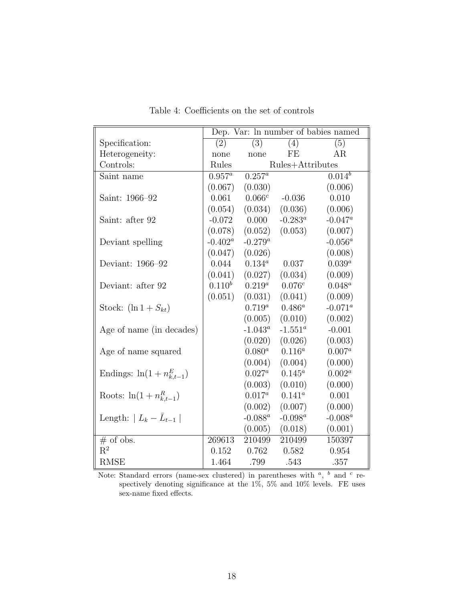|                                 | Dep. Var: ln number of babies named |            |                  |             |  |  |  |
|---------------------------------|-------------------------------------|------------|------------------|-------------|--|--|--|
| Specification:                  | (2)                                 | (3)        | (4)              | (5)         |  |  |  |
| Heterogeneity:                  | none                                | none       | FE               | AR          |  |  |  |
| Controls:                       | Rules                               |            | Rules+Attributes |             |  |  |  |
| Saint name                      | $0.957^a$                           | $0.257^a$  |                  | $0.014^{b}$ |  |  |  |
|                                 | (0.067)                             | (0.030)    |                  | (0.006)     |  |  |  |
| Saint: 1966-92                  | 0.061                               | $0.066^c$  | $-0.036$         | 0.010       |  |  |  |
|                                 | (0.054)                             | (0.034)    | (0.036)          | (0.006)     |  |  |  |
| Saint: after 92                 | $-0.072$                            | 0.000      | $-0.283^a$       | $-0.047^a$  |  |  |  |
|                                 | (0.078)                             | (0.052)    | (0.053)          | (0.007)     |  |  |  |
| Deviant spelling                | $-0.402^a$                          | $-0.279^a$ |                  | $-0.056^a$  |  |  |  |
|                                 | (0.047)                             | (0.026)    |                  | (0.008)     |  |  |  |
| Deviant: 1966–92                | 0.044                               | $0.134^a$  | 0.037            | $0.039^{a}$ |  |  |  |
|                                 | (0.041)                             | (0.027)    | (0.034)          | (0.009)     |  |  |  |
| Deviant: after 92               | $0.110^{b}$                         | $0.219^a$  | $0.076^c$        | $0.048^a$   |  |  |  |
|                                 | (0.051)                             | (0.031)    | (0.041)          | (0.009)     |  |  |  |
| Stock: $(\ln 1 + S_{kt})$       |                                     | $0.719^a$  | $0.486^a$        | $-0.071^a$  |  |  |  |
|                                 |                                     | (0.005)    | (0.010)          | (0.002)     |  |  |  |
| Age of name (in decades)        |                                     | $-1.043^a$ | $-1.551^a$       | $-0.001$    |  |  |  |
|                                 |                                     | (0.020)    | (0.026)          | (0.003)     |  |  |  |
| Age of name squared             |                                     | $0.080^a$  | $0.116^a$        | $0.007^{a}$ |  |  |  |
|                                 |                                     | (0.004)    | (0.004)          | (0.000)     |  |  |  |
| Endings: $\ln(1+n_{k,t-1}^E)$   |                                     | $0.027^a$  | $0.145^a$        | $0.002^a$   |  |  |  |
|                                 |                                     | (0.003)    | (0.010)          | (0.000)     |  |  |  |
| Roots: $\ln(1 + n_{k,t-1}^R)$   |                                     | $0.017^a$  | $0.141^a$        | 0.001       |  |  |  |
|                                 |                                     | (0.002)    | (0.007)          | (0.000)     |  |  |  |
| Length: $ L_k - \bar{L}_{t-1} $ |                                     | $-0.088^a$ | -0.098 $^a$      | $-0.008^a$  |  |  |  |
|                                 |                                     | (0.005)    | (0.018)          | (0.001)     |  |  |  |
| $#$ of obs.                     | 269613                              | 210499     | 210499           | 150397      |  |  |  |
| $R^2$                           | 0.152                               | 0.762      | 0.582            | 0.954       |  |  |  |
| <b>RMSE</b>                     | 1.464                               | .799       | .543             | .357        |  |  |  |

<span id="page-18-0"></span>Table 4: Coefficients on the set of controls

Note: Standard errors (name-sex clustered) in parentheses with  $\alpha$ ,  $\alpha$  and  $\alpha$  respectively denoting significance at the 1%, 5% and 10% levels. FE uses sex-name fixed effects.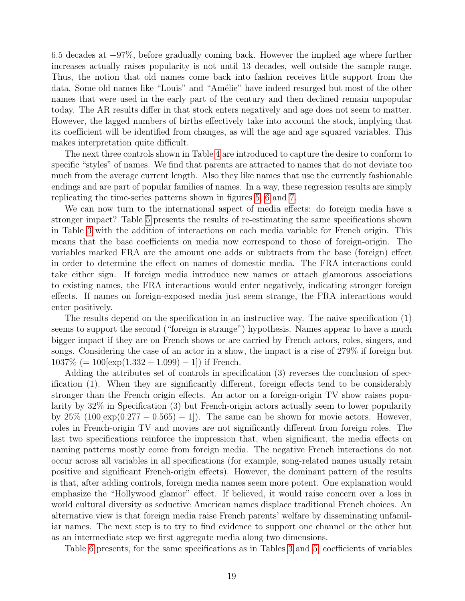6.5 decades at −97%, before gradually coming back. However the implied age where further increases actually raises popularity is not until 13 decades, well outside the sample range. Thus, the notion that old names come back into fashion receives little support from the data. Some old names like "Louis" and "Amélie" have indeed resurged but most of the other names that were used in the early part of the century and then declined remain unpopular today. The AR results differ in that stock enters negatively and age does not seem to matter. However, the lagged numbers of births effectively take into account the stock, implying that its coefficient will be identified from changes, as will the age and age squared variables. This makes interpretation quite difficult.

The next three controls shown in Table [4](#page-18-0) are introduced to capture the desire to conform to specific "styles" of names. We find that parents are attracted to names that do not deviate too much from the average current length. Also they like names that use the currently fashionable endings and are part of popular families of names. In a way, these regression results are simply replicating the time-series patterns shown in figures [5,](#page-13-0) [6](#page-13-1) and [7.](#page-14-0)

We can now turn to the international aspect of media effects: do foreign media have a stronger impact? Table [5](#page-20-0) presents the results of re-estimating the same specifications shown in Table [3](#page-16-0) with the addition of interactions on each media variable for French origin. This means that the base coefficients on media now correspond to those of foreign-origin. The variables marked FRA are the amount one adds or subtracts from the base (foreign) effect in order to determine the effect on names of domestic media. The FRA interactions could take either sign. If foreign media introduce new names or attach glamorous associations to existing names, the FRA interactions would enter negatively, indicating stronger foreign effects. If names on foreign-exposed media just seem strange, the FRA interactions would enter positively.

The results depend on the specification in an instructive way. The naive specification (1) seems to support the second ("foreign is strange") hypothesis. Names appear to have a much bigger impact if they are on French shows or are carried by French actors, roles, singers, and songs. Considering the case of an actor in a show, the impact is a rise of 279% if foreign but  $1037\%$  (=  $100$ [exp(1.332 + 1.099) – 1]) if French.

Adding the attributes set of controls in specification (3) reverses the conclusion of specification (1). When they are significantly different, foreign effects tend to be considerably stronger than the French origin effects. An actor on a foreign-origin TV show raises popularity by 32% in Specification (3) but French-origin actors actually seem to lower popularity by  $25\%$  (100[exp(0.277 – 0.565) – 1]). The same can be shown for movie actors. However, roles in French-origin TV and movies are not significantly different from foreign roles. The last two specifications reinforce the impression that, when significant, the media effects on naming patterns mostly come from foreign media. The negative French interactions do not occur across all variables in all specifications (for example, song-related names usually retain positive and significant French-origin effects). However, the dominant pattern of the results is that, after adding controls, foreign media names seem more potent. One explanation would emphasize the "Hollywood glamor" effect. If believed, it would raise concern over a loss in world cultural diversity as seductive American names displace traditional French choices. An alternative view is that foreign media raise French parents' welfare by disseminating unfamiliar names. The next step is to try to find evidence to support one channel or the other but as an intermediate step we first aggregate media along two dimensions.

Table [6](#page-21-0) presents, for the same specifications as in Tables [3](#page-16-0) and [5,](#page-20-0) coefficients of variables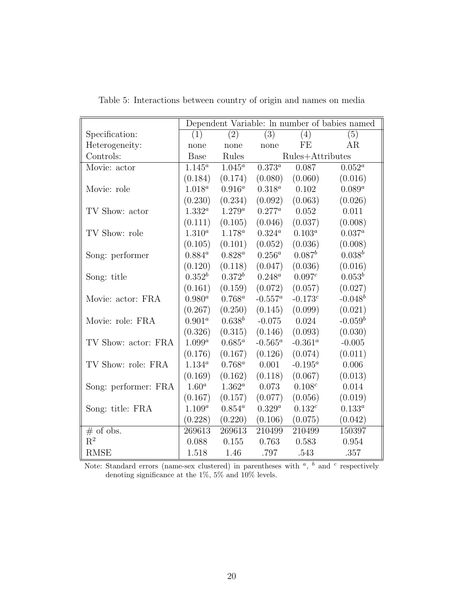|                      | Dependent Variable: In number of babies named |                  |                      |                    |             |  |  |  |
|----------------------|-----------------------------------------------|------------------|----------------------|--------------------|-------------|--|--|--|
| Specification:       | (1)                                           | $\overline{(2)}$ | $\overline{(3)}$     | (4)                | (5)         |  |  |  |
| Heterogeneity:       | none                                          | none             | none                 | FE                 | AR          |  |  |  |
| Controls:            | Base                                          | Rules            |                      | Rules+Attributes   |             |  |  |  |
| Movie: actor         | $1.145^a$                                     | $1.045^a$        | $0.3\overline{73^a}$ | 0.087              | $0.052^a$   |  |  |  |
|                      | (0.184)                                       | (0.174)          | (0.080)              | (0.060)            | (0.016)     |  |  |  |
| Movie: role          | $1.018^a$                                     | $0.916^a$        | $0.318^a$            | 0.102              | $0.089^a$   |  |  |  |
|                      | (0.230)                                       | (0.234)          | (0.092)              | (0.063)            | (0.026)     |  |  |  |
| TV Show: actor       | $1.332^a$                                     | $1.279^a$        | $0.277^a$            | 0.052              | 0.011       |  |  |  |
|                      | (0.111)                                       | (0.105)          | (0.046)              | (0.037)            | (0.008)     |  |  |  |
| TV Show: role        | $1.310^{a}$                                   | $1.178^a$        | $0.324^a$            | $0.103^{a}$        | $0.037^{a}$ |  |  |  |
|                      | (0.105)                                       | (0.101)          | (0.052)              | (0.036)            | (0.008)     |  |  |  |
| Song: performer      | $0.884^a$                                     | $0.828^{a}$      | $0.256^a$            | $0.087^b$          | $0.038^b$   |  |  |  |
|                      | (0.120)                                       | (0.118)          | (0.047)              | (0.036)            | (0.016)     |  |  |  |
| Song: title          | $0.352^b$                                     | $0.372^b$        | $0.248^a$            | 0.097 <sup>c</sup> | $0.053^b$   |  |  |  |
|                      | (0.161)                                       | (0.159)          | (0.072)              | (0.057)            | (0.027)     |  |  |  |
| Movie: actor: FRA    | $0.980^{a}$                                   | $0.768^a$        | $-0.557^a$           | $-0.173^{c}$       | $-0.048^b$  |  |  |  |
|                      | (0.267)                                       | (0.250)          | (0.145)              | (0.099)            | (0.021)     |  |  |  |
| Movie: role: FRA     | $0.901^a$                                     | $0.638^b$        | $-0.075$             | 0.024              | $-0.059^b$  |  |  |  |
|                      | (0.326)                                       | (0.315)          | (0.146)              | (0.093)            | (0.030)     |  |  |  |
| TV Show: actor: FRA  | $1.099^a$                                     | $0.685^a$        | $-0.565^a$           | $-0.361^a$         | $-0.005$    |  |  |  |
|                      | (0.176)                                       | (0.167)          | (0.126)              | (0.074)            | (0.011)     |  |  |  |
| TV Show: role: FRA   | $1.134^{a}$                                   | $0.768^a$        | 0.001                | $-0.195^a$         | 0.006       |  |  |  |
|                      | (0.169)                                       | (0.162)          | (0.118)              | (0.067)            | (0.013)     |  |  |  |
| Song: performer: FRA | $1.60^a$                                      | $1.362^a$        | 0.073                | 0.108 <sup>c</sup> | 0.014       |  |  |  |
|                      | (0.167)                                       | (0.157)          | (0.077)              | (0.056)            | (0.019)     |  |  |  |
| Song: title: FRA     | $1.109^{a}$                                   | $0.854^a$        | $0.329^{a}$          | $0.132^c$          | $0.133^a$   |  |  |  |
|                      | (0.228)                                       | (0.220)          | (0.106)              | (0.075)            | (0.042)     |  |  |  |
| $\#$ of obs.         | 269613                                        | 269613           | 210499               | 210499             | 150397      |  |  |  |
| $R^2$                | 0.088                                         | 0.155            | 0.763                | 0.583              | 0.954       |  |  |  |
| <b>RMSE</b>          | 1.518                                         | 1.46             | .797                 | .543               | .357        |  |  |  |

<span id="page-20-0"></span>Table 5: Interactions between country of origin and names on media

Note: Standard errors (name-sex clustered) in parentheses with  $a$ ,  $b$  and  $c$  respectively denoting significance at the  $1\%,\,5\%$  and  $10\%$  levels.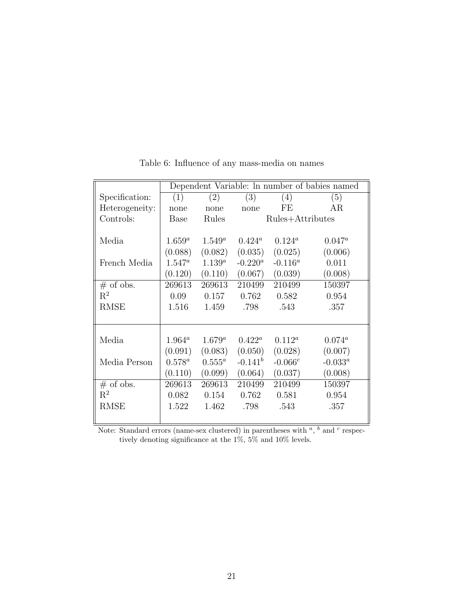|                | Dependent Variable: In number of babies named |             |                  |            |            |  |  |
|----------------|-----------------------------------------------|-------------|------------------|------------|------------|--|--|
| Specification: | (1)                                           | (2)         | (3)              | (4)        | (5)        |  |  |
| Heterogeneity: | none                                          | none        | none             | FE         | AR.        |  |  |
| Controls:      | Base                                          | Rules       | Rules+Attributes |            |            |  |  |
|                |                                               |             |                  |            |            |  |  |
| Media          | $1.659^a$                                     | $1.549^a$   | $0.424^a$        | $0.124^a$  | $0.047^a$  |  |  |
|                | (0.088)                                       | (0.082)     | (0.035)          | (0.025)    | (0.006)    |  |  |
| French Media   | $1.547^a$                                     | $1.139^{a}$ | $-0.220^a$       | $-0.116^a$ | 0.011      |  |  |
|                | (0.120)                                       | (0.110)     | (0.067)          | (0.039)    | (0.008)    |  |  |
| $#$ of obs.    | 269613                                        | 269613      | 210499           | 210499     | 150397     |  |  |
| $\mathrm{R}^2$ | 0.09                                          | 0.157       | 0.762            | 0.582      | 0.954      |  |  |
| <b>RMSE</b>    | 1.516                                         | 1.459       | .798             | .543       | .357       |  |  |
|                |                                               |             |                  |            |            |  |  |
|                |                                               |             |                  |            |            |  |  |
| Media          | $1.964^a$                                     | $1.679^a$   | $0.422^a$        | $0.112^a$  | $0.074^a$  |  |  |
|                | (0.091)                                       | (0.083)     | (0.050)          | (0.028)    | (0.007)    |  |  |
| Media Person   | $0.578^a$                                     | $0.555^a$   | $-0.141^b$       | $-0.066c$  | $-0.033^a$ |  |  |
|                | (0.110)                                       | (0.099)     | (0.064)          | (0.037)    | (0.008)    |  |  |
| $#$ of obs.    | 269613                                        | 269613      | 210499           | 210499     | 150397     |  |  |
| $\mathrm{R}^2$ | 0.082                                         | 0.154       | 0.762            | 0.581      | 0.954      |  |  |
| <b>RMSE</b>    | 1.522                                         | 1.462       | .798             | .543       | .357       |  |  |
|                |                                               |             |                  |            |            |  |  |

<span id="page-21-0"></span>Table 6: Influence of any mass-media on names

Note: Standard errors (name-sex clustered) in parentheses with  $a$ ,  $b$  and  $c$  respectively denoting significance at the 1%, 5% and 10% levels.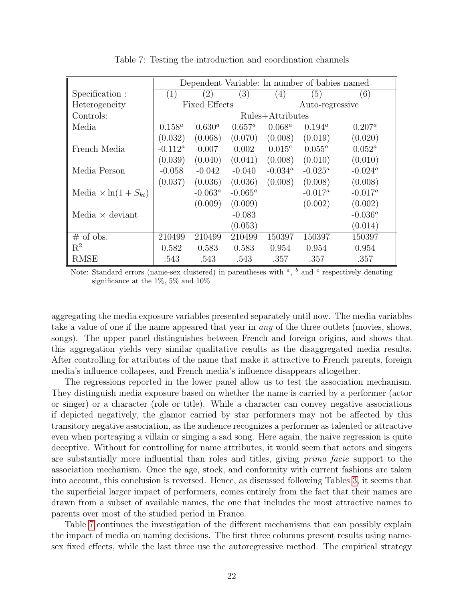|                                | Dependent Variable: In number of babies named |                  |            |                  |            |            |  |
|--------------------------------|-----------------------------------------------|------------------|------------|------------------|------------|------------|--|
| Specification :                | (1)                                           | (2)              | (3)        | (4)              | (5)        | (6)        |  |
| Heterogeneity                  | <b>Fixed Effects</b>                          |                  |            | Auto-regressive  |            |            |  |
| Controls:                      |                                               | Rules+Attributes |            |                  |            |            |  |
| Media                          | $0.158^a$                                     | $0.630^{a}$      | $0.657^a$  | $0.068^a$        | $0.194^a$  | $0.207^a$  |  |
|                                | (0.032)                                       | (0.068)          | (0.070)    | (0.008)          | (0.019)    | (0.020)    |  |
| French Media                   | $-0.112^a$                                    | 0.007            | 0.002      | $0.015^c$        | $0.055^a$  | $0.052^a$  |  |
|                                | (0.039)                                       | (0.040)          | (0.041)    | (0.008)          | (0.010)    | (0.010)    |  |
| Media Person                   | $-0.058$                                      | $-0.042$         | $-0.040$   | $-0.034^{\circ}$ | $-0.025^a$ | $-0.024^a$ |  |
|                                | (0.037)                                       | (0.036)          | (0.036)    | (0.008)          | (0.008)    | (0.008)    |  |
| Media $\times \ln(1 + S_{kt})$ |                                               | $-0.063^{\circ}$ | $-0.065^a$ |                  | $-0.017^a$ | $-0.017^a$ |  |
|                                |                                               | (0.009)          | (0.009)    |                  | (0.002)    | (0.002)    |  |
| Media $\times$ deviant         |                                               |                  | $-0.083$   |                  |            | $-0.036^a$ |  |
|                                |                                               |                  | (0.053)    |                  |            | (0.014)    |  |
| $\#$ of obs.                   | 210499                                        | 210499           | 210499     | 150397           | 150397     | 150397     |  |
| $\mathbf{R}^2$                 | 0.582                                         | 0.583            | 0.583      | 0.954            | 0.954      | 0.954      |  |
| <b>RMSE</b>                    | .543                                          | .543             | .543       | .357             | .357       | .357       |  |

<span id="page-22-0"></span>Table 7: Testing the introduction and coordination channels

Note: Standard errors (name-sex clustered) in parentheses with  $\alpha$ ,  $\beta$  and  $\alpha$  respectively denoting significance at the 1%, 5% and 10%

aggregating the media exposure variables presented separately until now. The media variables take a value of one if the name appeared that year in *any* of the three outlets (movies, shows, songs). The upper panel distinguishes between French and foreign origins, and shows that this aggregation yields very similar qualitative results as the disaggregated media results. After controlling for attributes of the name that make it attractive to French parents, foreign media's influence collapses, and French media's influence disappears altogether.

The regressions reported in the lower panel allow us to test the association mechanism. They distinguish media exposure based on whether the name is carried by a performer (actor or singer) or a character (role or title). While a character can convey negative associations if depicted negatively, the glamor carried by star performers may not be affected by this transitory negative association, as the audience recognizes a performer as talented or attractive even when portraying a villain or singing a sad song. Here again, the naive regression is quite deceptive. Without for controlling for name attributes, it would seem that actors and singers are substantially more influential than roles and titles, giving prima facie support to the association mechanism. Once the age, stock, and conformity with current fashions are taken into account, this conclusion is reversed. Hence, as discussed following Tables [3,](#page-16-0) it seems that the superficial larger impact of performers, comes entirely from the fact that their names are drawn from a subset of available names, the one that includes the most attractive names to parents over most of the studied period in France.

Table [7](#page-22-0) continues the investigation of the different mechanisms that can possibly explain the impact of media on naming decisions. The first three columns present results using namesex fixed effects, while the last three use the autoregressive method. The empirical strategy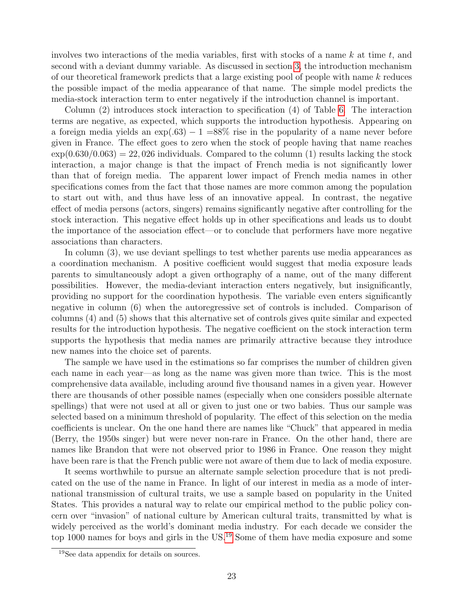involves two interactions of the media variables, first with stocks of a name  $k$  at time  $t$ , and second with a deviant dummy variable. As discussed in section [3,](#page-5-0) the introduction mechanism of our theoretical framework predicts that a large existing pool of people with name  $k$  reduces the possible impact of the media appearance of that name. The simple model predicts the media-stock interaction term to enter negatively if the introduction channel is important.

Column (2) introduces stock interaction to specification (4) of Table [6.](#page-21-0) The interaction terms are negative, as expected, which supports the introduction hypothesis. Appearing on a foreign media yields an  $\exp(.63) - 1 = 88\%$  rise in the popularity of a name never before given in France. The effect goes to zero when the stock of people having that name reaches  $\exp(0.630/0.063) = 22,026$  individuals. Compared to the column (1) results lacking the stock interaction, a major change is that the impact of French media is not significantly lower than that of foreign media. The apparent lower impact of French media names in other specifications comes from the fact that those names are more common among the population to start out with, and thus have less of an innovative appeal. In contrast, the negative effect of media persons (actors, singers) remains significantly negative after controlling for the stock interaction. This negative effect holds up in other specifications and leads us to doubt the importance of the association effect—or to conclude that performers have more negative associations than characters.

In column (3), we use deviant spellings to test whether parents use media appearances as a coordination mechanism. A positive coefficient would suggest that media exposure leads parents to simultaneously adopt a given orthography of a name, out of the many different possibilities. However, the media-deviant interaction enters negatively, but insignificantly, providing no support for the coordination hypothesis. The variable even enters significantly negative in column (6) when the autoregressive set of controls is included. Comparison of columns (4) and (5) shows that this alternative set of controls gives quite similar and expected results for the introduction hypothesis. The negative coefficient on the stock interaction term supports the hypothesis that media names are primarily attractive because they introduce new names into the choice set of parents.

The sample we have used in the estimations so far comprises the number of children given each name in each year—as long as the name was given more than twice. This is the most comprehensive data available, including around five thousand names in a given year. However there are thousands of other possible names (especially when one considers possible alternate spellings) that were not used at all or given to just one or two babies. Thus our sample was selected based on a minimum threshold of popularity. The effect of this selection on the media coefficients is unclear. On the one hand there are names like "Chuck" that appeared in media (Berry, the 1950s singer) but were never non-rare in France. On the other hand, there are names like Brandon that were not observed prior to 1986 in France. One reason they might have been rare is that the French public were not aware of them due to lack of media exposure.

It seems worthwhile to pursue an alternate sample selection procedure that is not predicated on the use of the name in France. In light of our interest in media as a mode of international transmission of cultural traits, we use a sample based on popularity in the United States. This provides a natural way to relate our empirical method to the public policy concern over "invasion" of national culture by American cultural traits, transmitted by what is widely perceived as the world's dominant media industry. For each decade we consider the top 1000 names for boys and girls in the US.<sup>[19](#page-23-0)</sup> Some of them have media exposure and some

<span id="page-23-0"></span><sup>19</sup>See data appendix for details on sources.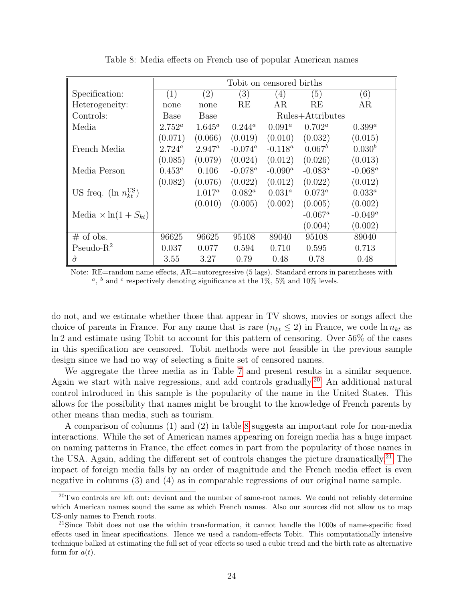|                                     | Tobit on censored births |                   |            |                  |            |             |  |  |
|-------------------------------------|--------------------------|-------------------|------------|------------------|------------|-------------|--|--|
| Specification:                      | (1)                      | $\left( 2\right)$ | (3)        | (4)              | (5)        | (6)         |  |  |
| Heterogeneity:                      | none                     | none              | RE         | AR.              | RE         | AR          |  |  |
| Controls:                           | <b>Base</b>              | <b>Base</b>       |            | Rules+Attributes |            |             |  |  |
| Media                               | $2.752^a$                | $1.645^a$         | $0.244^a$  | $0.091^a$        | $0.702^a$  | $0.399^a$   |  |  |
|                                     | (0.071)                  | (0.066)           | (0.019)    | (0.010)          | (0.032)    | (0.015)     |  |  |
| French Media                        | $2.724^a$                | $2.947^{\circ}$   | $-0.074^a$ | $-0.118^a$       | $0.067^b$  | $0.030^{b}$ |  |  |
|                                     | (0.085)                  | (0.079)           | (0.024)    | (0.012)          | (0.026)    | (0.013)     |  |  |
| Media Person                        | $0.453^a$                | 0.106             | $-0.078^a$ | $-0.090^a$       | $-0.083^a$ | $-0.068^a$  |  |  |
|                                     | (0.082)                  | (0.076)           | (0.022)    | (0.012)          | (0.022)    | (0.012)     |  |  |
| US freq. (ln $n_{kt}^{\text{US}}$ ) |                          | $1.017^a$         | $0.082^a$  | $0.031^a$        | $0.073^a$  | $0.033^a$   |  |  |
|                                     |                          | (0.010)           | (0.005)    | (0.002)          | (0.005)    | (0.002)     |  |  |
| Media $\times \ln(1 + S_{kt})$      |                          |                   |            |                  | $-0.067^a$ | $-0.049^a$  |  |  |
|                                     |                          |                   |            |                  | (0.004)    | (0.002)     |  |  |
| $\#$ of obs.                        | 96625                    | 96625             | 95108      | 89040            | 95108      | 89040       |  |  |
| $Pseudo-R2$                         | 0.037                    | 0.077             | 0.594      | 0.710            | 0.595      | 0.713       |  |  |
| $\hat{\sigma}$                      | 3.55                     | 3.27              | 0.79       | 0.48             | 0.78       | 0.48        |  |  |

<span id="page-24-1"></span>Table 8: Media effects on French use of popular American names

Note: RE=random name effects, AR=autoregressive (5 lags). Standard errors in parentheses with <sup>a</sup>, <sup>b</sup> and <sup>c</sup> respectively denoting significance at the 1\%, 5\% and 10\% levels.

do not, and we estimate whether those that appear in TV shows, movies or songs affect the choice of parents in France. For any name that is rare  $(n_{kt} \leq 2)$  in France, we code  $\ln n_{kt}$  as ln 2 and estimate using Tobit to account for this pattern of censoring. Over 56% of the cases in this specification are censored. Tobit methods were not feasible in the previous sample design since we had no way of selecting a finite set of censored names.

We aggregate the three media as in Table [7](#page-22-0) and present results in a similar sequence. Again we start with naive regressions, and add controls gradually.<sup>[20](#page-24-0)</sup> An additional natural control introduced in this sample is the popularity of the name in the United States. This allows for the possibility that names might be brought to the knowledge of French parents by other means than media, such as tourism.

A comparison of columns (1) and (2) in table [8](#page-24-1) suggests an important role for non-media interactions. While the set of American names appearing on foreign media has a huge impact on naming patterns in France, the effect comes in part from the popularity of those names in the USA. Again, adding the different set of controls changes the picture dramatically.<sup>[21](#page-24-2)</sup> The impact of foreign media falls by an order of magnitude and the French media effect is even negative in columns (3) and (4) as in comparable regressions of our original name sample.

<span id="page-24-0"></span> $^{20}$ Two controls are left out: deviant and the number of same-root names. We could not reliably determine which American names sound the same as which French names. Also our sources did not allow us to map US-only names to French roots.

<span id="page-24-2"></span><sup>&</sup>lt;sup>21</sup>Since Tobit does not use the within transformation, it cannot handle the 1000s of name-specific fixed effects used in linear specifications. Hence we used a random-effects Tobit. This computationally intensive technique balked at estimating the full set of year effects so used a cubic trend and the birth rate as alternative form for  $a(t)$ .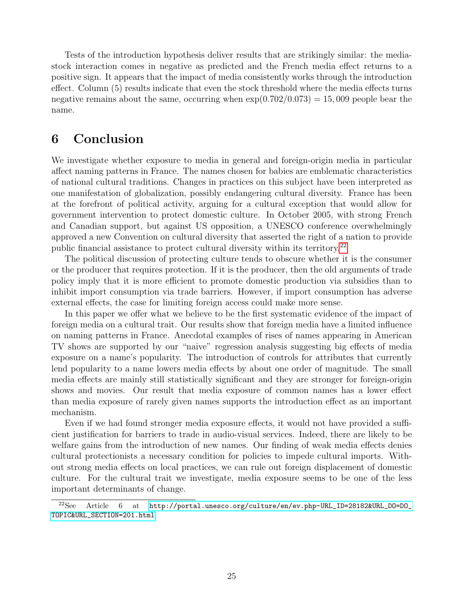Tests of the introduction hypothesis deliver results that are strikingly similar: the mediastock interaction comes in negative as predicted and the French media effect returns to a positive sign. It appears that the impact of media consistently works through the introduction effect. Column (5) results indicate that even the stock threshold where the media effects turns negative remains about the same, occurring when  $\exp(0.702/0.073) = 15,009$  people bear the name.

### <span id="page-25-0"></span>6 Conclusion

We investigate whether exposure to media in general and foreign-origin media in particular affect naming patterns in France. The names chosen for babies are emblematic characteristics of national cultural traditions. Changes in practices on this subject have been interpreted as one manifestation of globalization, possibly endangering cultural diversity. France has been at the forefront of political activity, arguing for a cultural exception that would allow for government intervention to protect domestic culture. In October 2005, with strong French and Canadian support, but against US opposition, a UNESCO conference overwhelmingly approved a new Convention on cultural diversity that asserted the right of a nation to provide public financial assistance to protect cultural diversity within its territory.[22](#page-25-1)

The political discussion of protecting culture tends to obscure whether it is the consumer or the producer that requires protection. If it is the producer, then the old arguments of trade policy imply that it is more efficient to promote domestic production via subsidies than to inhibit import consumption via trade barriers. However, if import consumption has adverse external effects, the case for limiting foreign access could make more sense.

In this paper we offer what we believe to be the first systematic evidence of the impact of foreign media on a cultural trait. Our results show that foreign media have a limited influence on naming patterns in France. Anecdotal examples of rises of names appearing in American TV shows are supported by our "naive" regression analysis suggesting big effects of media exposure on a name's popularity. The introduction of controls for attributes that currently lend popularity to a name lowers media effects by about one order of magnitude. The small media effects are mainly still statistically significant and they are stronger for foreign-origin shows and movies. Our result that media exposure of common names has a lower effect than media exposure of rarely given names supports the introduction effect as an important mechanism.

Even if we had found stronger media exposure effects, it would not have provided a sufficient justification for barriers to trade in audio-visual services. Indeed, there are likely to be welfare gains from the introduction of new names. Our finding of weak media effects denies cultural protectionists a necessary condition for policies to impede cultural imports. Without strong media effects on local practices, we can rule out foreign displacement of domestic culture. For the cultural trait we investigate, media exposure seems to be one of the less important determinants of change.

<span id="page-25-1"></span><sup>22</sup>See Article 6 at [http://portal.unesco.org/culture/en/ev.php-URL\\_ID=28182&URL\\_DO=DO\\_](http://portal.unesco.org/culture/en/ev.php-URL_ID=28182&URL_DO=DO_TOPIC&URL_SECTION=201.html) [TOPIC&URL\\_SECTION=201.html](http://portal.unesco.org/culture/en/ev.php-URL_ID=28182&URL_DO=DO_TOPIC&URL_SECTION=201.html)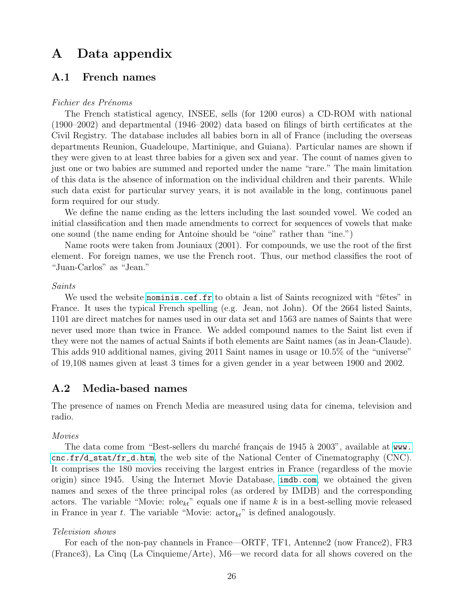# A Data appendix

#### A.1 French names

#### Fichier des Prénoms

The French statistical agency, INSEE, sells (for 1200 euros) a CD-ROM with national (1900–2002) and departmental (1946–2002) data based on filings of birth certificates at the Civil Registry. The database includes all babies born in all of France (including the overseas departments Reunion, Guadeloupe, Martinique, and Guiana). Particular names are shown if they were given to at least three babies for a given sex and year. The count of names given to just one or two babies are summed and reported under the name "rare." The main limitation of this data is the absence of information on the individual children and their parents. While such data exist for particular survey years, it is not available in the long, continuous panel form required for our study.

We define the name ending as the letters including the last sounded vowel. We coded an initial classification and then made amendments to correct for sequences of vowels that make one sound (the name ending for Antoine should be "oine" rather than "ine.")

Name roots were taken from Jouniaux (2001). For compounds, we use the root of the first element. For foreign names, we use the French root. Thus, our method classifies the root of "Juan-Carlos" as "Jean."

#### Saints

We used the website <nominis.cef.fr> to obtain a list of Saints recognized with "fêtes" in France. It uses the typical French spelling (e.g. Jean, not John). Of the 2664 listed Saints, 1101 are direct matches for names used in our data set and 1563 are names of Saints that were never used more than twice in France. We added compound names to the Saint list even if they were not the names of actual Saints if both elements are Saint names (as in Jean-Claude). This adds 910 additional names, giving 2011 Saint names in usage or 10.5% of the "universe" of 19,108 names given at least 3 times for a given gender in a year between 1900 and 2002.

### A.2 Media-based names

The presence of names on French Media are measured using data for cinema, television and radio.

#### Movies

The data come from "Best-sellers du marché français de 1945 à 2003", available at [www.](www.cnc.fr/d_stat/fr_d.htm) [cnc.fr/d\\_stat/fr\\_d.htm](www.cnc.fr/d_stat/fr_d.htm), the web site of the National Center of Cinematography  $(CNC)$ . It comprises the 180 movies receiving the largest entries in France (regardless of the movie origin) since 1945. Using the Internet Movie Database, <imdb.com>, we obtained the given names and sexes of the three principal roles (as ordered by IMDB) and the corresponding actors. The variable "Movie:  $\mathrm{role}_{kt}$ " equals one if name k is in a best-selling movie released in France in year t. The variable "Movie:  $\arctan_{kt}$ " is defined analogously.

#### Television shows

For each of the non-pay channels in France—ORTF, TF1, Antenne2 (now France2), FR3 (France3), La Cinq (La Cinquieme/Arte), M6—we record data for all shows covered on the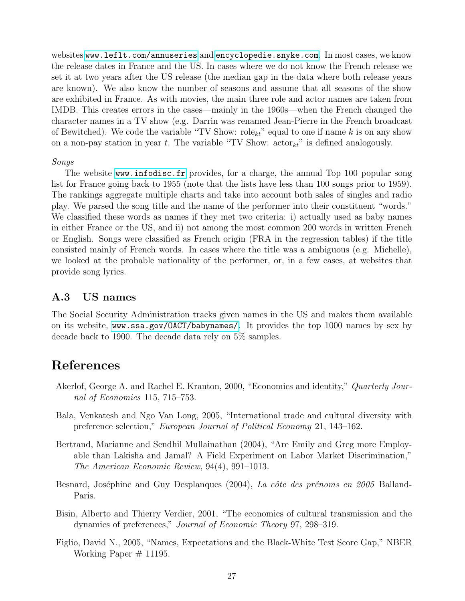websites <www.leflt.com/annuseries> and <encyclopedie.snyke.com>. In most cases, we know the release dates in France and the US. In cases where we do not know the French release we set it at two years after the US release (the median gap in the data where both release years are known). We also know the number of seasons and assume that all seasons of the show are exhibited in France. As with movies, the main three role and actor names are taken from IMDB. This creates errors in the cases—mainly in the 1960s—when the French changed the character names in a TV show (e.g. Darrin was renamed Jean-Pierre in the French broadcast of Bewitched). We code the variable "TV Show: role<sub>kt</sub>" equal to one if name k is on any show on a non-pay station in year t. The variable "TV Show:  $\arctan_k$ " is defined analogously.

#### Songs

The website <www.infodisc.fr> provides, for a charge, the annual Top 100 popular song list for France going back to 1955 (note that the lists have less than 100 songs prior to 1959). The rankings aggregate multiple charts and take into account both sales of singles and radio play. We parsed the song title and the name of the performer into their constituent "words." We classified these words as names if they met two criteria: i) actually used as baby names in either France or the US, and ii) not among the most common 200 words in written French or English. Songs were classified as French origin (FRA in the regression tables) if the title consisted mainly of French words. In cases where the title was a ambiguous (e.g. Michelle), we looked at the probable nationality of the performer, or, in a few cases, at websites that provide song lyrics.

### A.3 US names

The Social Security Administration tracks given names in the US and makes them available on its website, [www.ssa.gov/OACT/babynames/]( www.ssa.gov/OACT/babynames/). It provides the top 1000 names by sex by decade back to 1900. The decade data rely on 5% samples.

# References

- Akerlof, George A. and Rachel E. Kranton, 2000, "Economics and identity," *Quarterly Jour*nal of Economics 115, 715–753.
- Bala, Venkatesh and Ngo Van Long, 2005, "International trade and cultural diversity with preference selection," European Journal of Political Economy 21, 143–162.
- Bertrand, Marianne and Sendhil Mullainathan (2004), "Are Emily and Greg more Employable than Lakisha and Jamal? A Field Experiment on Labor Market Discrimination," The American Economic Review, 94(4), 991–1013.
- Besnard, Joséphine and Guy Desplanques (2004), La côte des prénoms en 2005 Balland-Paris.
- Bisin, Alberto and Thierry Verdier, 2001, "The economics of cultural transmission and the dynamics of preferences," Journal of Economic Theory 97, 298–319.
- Figlio, David N., 2005, "Names, Expectations and the Black-White Test Score Gap," NBER Working Paper  $#$  11195.